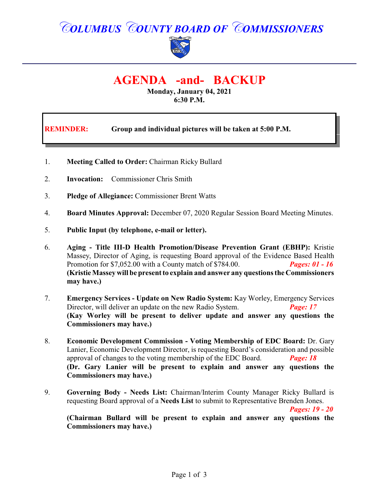## *COLUMBUS COUNTY BOARD OF COMMISSIONERS*



## **AGENDA -and- BACKUP**

**Monday, January 04, 2021 6:30 P.M.**

| <b>REMINDER:</b> | Group and individual pictures will be taken at 5:00 P.M. |
|------------------|----------------------------------------------------------|
|------------------|----------------------------------------------------------|

- 1. **Meeting Called to Order:** Chairman Ricky Bullard
- 2. **Invocation:** Commissioner Chris Smith
- 3. **Pledge of Allegiance:** Commissioner Brent Watts
- 4. **Board Minutes Approval:** December 07, 2020 Regular Session Board Meeting Minutes.
- 5. **Public Input (by telephone, e-mail or letter).**
- 6. **Aging Title III-D Health Promotion/Disease Prevention Grant (EBHP):** Kristie Massey, Director of Aging, is requesting Board approval of the Evidence Based Health Promotion for \$7,052.00 with a County match of \$784.00. *Pages: 01 - 16* **(Kristie Massey will be present to explain and answer any questions the Commissioners may have.)**
- 7. **Emergency Services Update on New Radio System:** Kay Worley, Emergency Services Director, will deliver an update on the new Radio System. *Page: 17* **(Kay Worley will be present to deliver update and answer any questions the Commissioners may have.)**
- 8. **Economic Development Commission Voting Membership of EDC Board:** Dr. Gary Lanier, Economic Development Director, is requesting Board's consideration and possible approval of changes to the voting membership of the EDC Board. *Page: 18* **(Dr. Gary Lanier will be present to explain and answer any questions the Commissioners may have.)**
- 9. **Governing Body Needs List:** Chairman/Interim County Manager Ricky Bullard is requesting Board approval of a **Needs List** to submit to Representative Brenden Jones.

*Pages: 19 - 20*

**(Chairman Bullard will be present to explain and answer any questions the Commissioners may have.)**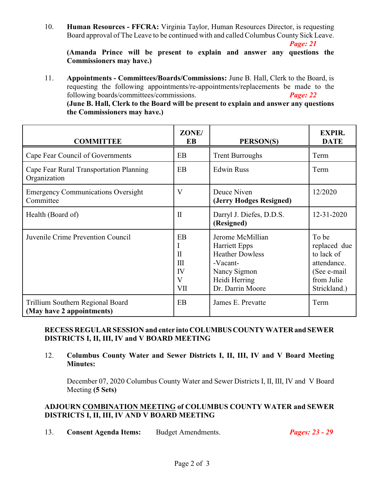10. **Human Resources - FFCRA:** Virginia Taylor, Human Resources Director, is requesting Board approval of The Leave to be continued with and called Columbus County Sick Leave.

*Page: 21*

**(Amanda Prince will be present to explain and answer any questions the Commissioners may have.)**

11. **Appointments - Committees/Boards/Commissions:** June B. Hall, Clerk to the Board, is requesting the following appointments/re-appointments/replacements be made to the following boards/committees/commissions. *Page: 22* **(June B. Hall, Clerk to the Board will be present to explain and answer any questions the Commissioners may have.)**

| <b>COMMITTEE</b>                                              | ZONE/<br>EB                                             | PERSON(S)                                                                                                                           | <b>EXPIR.</b><br><b>DATE</b>                                                                     |
|---------------------------------------------------------------|---------------------------------------------------------|-------------------------------------------------------------------------------------------------------------------------------------|--------------------------------------------------------------------------------------------------|
| Cape Fear Council of Governments                              | EB                                                      | <b>Trent Burroughs</b>                                                                                                              | Term                                                                                             |
| Cape Fear Rural Transportation Planning<br>Organization       | EB                                                      | <b>Edwin Russ</b>                                                                                                                   | Term                                                                                             |
| <b>Emergency Communications Oversight</b><br>Committee        | $\mathbf{V}$                                            | Deuce Niven<br>(Jerry Hodges Resigned)                                                                                              | 12/2020                                                                                          |
| Health (Board of)                                             | $\mathbf{I}$                                            | Darryl J. Diefes, D.D.S.<br>(Resigned)                                                                                              | 12-31-2020                                                                                       |
| Juvenile Crime Prevention Council                             | EB<br>I<br>$\mathbf{I}$<br>III<br>IV<br>V<br><b>VII</b> | Jerome McMillian<br><b>Harriett Epps</b><br><b>Heather Dowless</b><br>-Vacant-<br>Nancy Sigmon<br>Heidi Herring<br>Dr. Darrin Moore | To be<br>replaced due<br>to lack of<br>attendance.<br>(See e-mail)<br>from Julie<br>Strickland.) |
| Trillium Southern Regional Board<br>(May have 2 appointments) | EB                                                      | James E. Prevatte                                                                                                                   | Term                                                                                             |

**RECESS REGULAR SESSION and enter into COLUMBUSCOUNTYWATERand SEWER DISTRICTS I, II, III, IV and V BOARD MEETING**

12. **Columbus County Water and Sewer Districts I, II, III, IV and V Board Meeting Minutes:**

December 07, 2020 Columbus County Water and Sewer Districts I, II, III, IV and V Board Meeting **(5 Sets)**

## **ADJOURN COMBINATION MEETING of COLUMBUS COUNTY WATER and SEWER DISTRICTS I, II, III, IV AND V BOARD MEETING**

13. **Consent Agenda Items:** Budget Amendments. *Pages: 23 - 29*